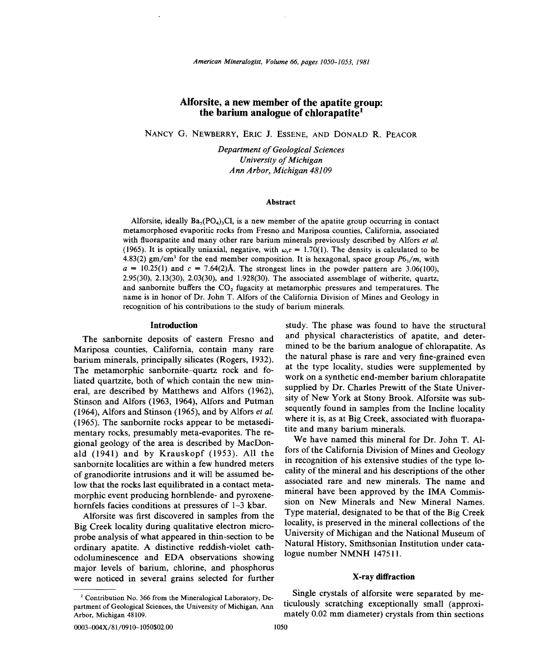# **Alforsite, a new member of the apatite group: the barium analogue of chlorapatite1**

NANCY G. NEWBERRY, ERIC J. ESSENE, AND DONALD R. PEACOR

*Department of Geological Sciences University of Michigan Ann Arbor, Michigan 48109*

#### **Abstract**

Alforsite, ideally  $Ba<sub>5</sub>(PO<sub>4</sub>)<sub>3</sub>Cl$ , is a new member of the apatite group occurring in contact metamorphosed evaporitic rocks from Fresno and Mariposa counties, California, associated with fluorapatite and many other rare barium minerals previously described by Alfors *et al.* (1965). It is optically uniaxial, negative, with  $\omega$ <sub>i</sub> $\varepsilon = 1.70(1)$ . The density is calculated to be 4.83(2) gm/cm<sup>3</sup> for the end member composition. It is hexagonal, space group  $P6<sub>3</sub>/m$ , with  $a = 10.25(1)$  and  $c = 7.64(2)$ Å. The strongest lines in the powder pattern are 3.06(100),  $2.95(30)$ ,  $2.13(30)$ ,  $2.03(30)$ , and  $1.928(30)$ . The associated assemblage of witherite, quartz, and sanbornite buffers the  $CO<sub>2</sub>$  fugacity at metamorphic pressures and temperatures. The name is in honor of Dr. John T. Alfors of the California Division of Mines and Geology in recognition of his contributions to the study of barium minerals.

### **Introduction**

The sanbornite deposits of eastern Fresno and Mariposa counties, California, contain many rare barium minerals, principally silicates (Rogers, 1932). The metamorphic sanbornite-quartz rock and foliated quartzite, both of which contain the new mineral, are described by Matthews and Alfors (1962), Stinson and Alfors (1963, 1964), Alfors and Putman (1964), Alfors and Stinson (1965), and by Alfors *et al.* (1965). The san bornite rocks appear to be metasedimentary rocks, presumably meta-evaporites. The regional geology of the area is described by MacDonald (1941) and by Krauskopf (1953). All the sanbornite localities are within a few hundred meters of granodiorite intrusions and it will be assumed below that the rocks last equilibrated in a contact metamorphic event producing hornblende- and pyroxenehornfels facies conditions at pressures of 1-3 kbar.

Alforsite was first discovered in samples from the Big Creek locality during qualitative electron microprobe analysis of what appeared in thin-section to be ordinary apatite. A distinctive reddish-violet cathodoluminescence and EDA observations showing major levels of barium, chlorine, and phosphorus were noticed in several grains selected for further

study. The phase was found to have the structural and physical characteristics of apatite, and determined to be the barium analogue of chlorapatite. As the natural phase is rare and very fine-grained even at the type locality, studies were supplemented by work on a synthetic end-member barium chlorapatite supplied by Dr. Charles Prewitt of the State University of New York at Stony Brook. Alforsite was subsequently found in samples from the Incline locality where it is, as at Big Creek, associated with fluorapatite and many barium minerals.

We have named this mineral for Dr. John T. Alfors of the California Qivision of Mines and Geology in recognition of his extensive studies of the type locality of the mineral and his descriptions of the other associated rare and new minerals. The name and mineral have been approved by the IMA Commission on New Minerals and New Mineral Names. Type material, designated to be that of the Big Creek locality, is preserved in the mineral collections of the University of Michigan and the National Museum of Natural History, Smithsonian Institution under catalogue number NMNH 147511.

# X-ray **diffraction**

Single crystals of alforsite were separated by meticulously scratching exceptionally small (approximately 0.02 mm diameter) crystals from thin sections

<sup>&</sup>lt;sup>1</sup> Contribution No. 366 from the Mineralogical Laboratory, Department of Geological Sciences, the University of Michigan, Ann Arbor, Michigan 48109.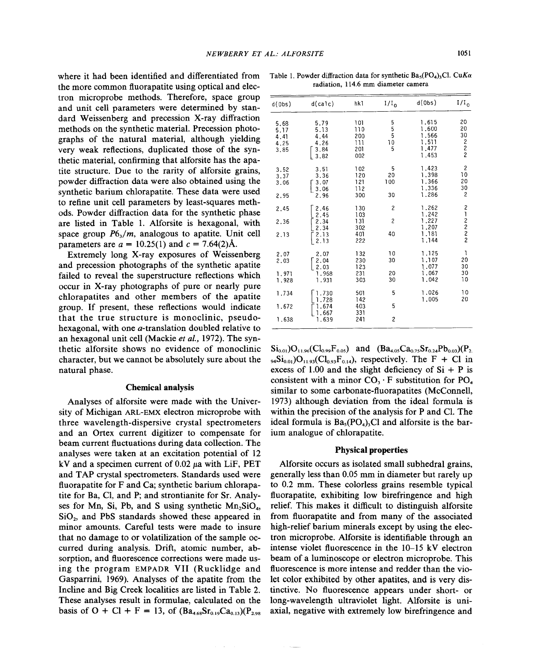where it had been identified and differentiated from the more common fluorapatite using optical and electron microprobe methods. Therefore, space group and unit cell parameters were determined by standard Weissenberg and precession X-ray diffraction methods on the synthetic material. Precession photographs of the natural material, although yielding very weak reflections, duplicated those of the synthetic material, confirming that a1forsite has the apatite structure. Due to the rarity of a1forsite grains, powder diffraction data were also obtained using the synthetic barium chlorapatite. These data were used to refine unit cell parameters by least-squares methods. Powder diffraction data for the synthetic phase are listed in Table 1. Alforsite is hexagonal, with space group  $P6<sub>3</sub>/m$ , analogous to apatite. Unit cell parameters are  $a = 10.25(1)$  and  $c = 7.64(2)$ Å.

Extremely long X-ray exposures of Weissenberg and precession photographs of the synthetic apatite failed to reveal the superstructure reflections which occur in X-ray photographs of pure or nearly pure chlorapatites and other members of the apatite group. If present, these reflections would indicate that the true structure is monoclinic, pseudohexagonal, with one a-translation doubled relative to an hexagonal unit cell (Mackie *et al.,* 1972). The synthetic a1forsite shows no evidence of monoclinic character, but we cannot be absolutely sure about the natural phase.

# Chemical analysis

Analyses of alforsite were made with the University of Michigan ARL-EMX electron microprobe with three wavelength-dispersive crystal spectrometers and an Ortex current digitizer to compensate for beam current fluctuations during data collection. The analyses were taken at an excitation potential of 12 kV and a specimen current of  $0.02 \mu$ a with LiF, PET and TAP crystal spectrometers. Standards used were fluorapatite for F and Ca; synthetic barium chlorapatite for Ba, C1, and P; and strontianite for Sr. Analyses for Mn, Si, Pb, and S using synthetic  $Mn_2SiO<sub>4</sub>$ , Si02, and PbS standards showed these appeared in minor amounts. Careful tests were made to insure that no damage to or volatilization of the sample occurred during analysis. Drift, atomic number, absorption, and fluorescence corrections were made using the program EMPADR VII (Rucklidge and Gasparrini, 1969). Analyses of the apatite from the Incline and Big Creek localities are listed in Table 2. These analyses result in formulae, calculated on the basis of O + Cl + F = 13, of  $(Ba_{4.68}Sr_{0.19}Ca_{0.13})(P_{2.98}$ 

| d(0bs)                               | d(calc)                                      | hk l                                   | $1/I_0$                   | d(0bs)                                             | 1/I <sub>o</sub>                                             |
|--------------------------------------|----------------------------------------------|----------------------------------------|---------------------------|----------------------------------------------------|--------------------------------------------------------------|
| 5,68<br>5.17<br>4.41<br>4.25<br>3,85 | 5.79<br>5.13<br>4.44<br>4.26<br>3.84<br>3.82 | 101<br>110<br>200<br>111<br>201<br>002 | 5<br>5<br>5<br>10<br>5    | 1.615<br>1.600<br>1.566<br>1.511<br>1,477<br>1.453 | 20<br>20<br>30<br>$\begin{array}{c} 2 \\ 2 \\ 2 \end{array}$ |
| 3.52<br>3.37<br>3.06<br>2.95         | 3.51<br>3.36<br>3.07<br>3.06<br>2.96         | 102<br>120<br>121<br>112<br>300        | 5<br>20<br>100<br>30      | 1.423<br>1.398<br>1.366<br>1.336<br>1.286          | $\overline{\mathbf{c}}$<br>10<br>20<br>30<br>2               |
| 2.45<br>2.36<br>2.13                 | 2.46<br>2.45<br>2.34<br>2.34<br>2.13<br>2.13 | 130<br>103<br>131<br>302<br>401<br>222 | $\overline{c}$<br>2<br>40 | 1.262<br>1.242<br>1.227<br>1,207<br>1.181<br>1.144 | 21222                                                        |
| 2.07<br>2.03<br>1.971<br>1.928       | 2,07<br>2.04<br>2.03<br>1.968<br>1.931       | 132<br>230<br>123<br>231<br>303        | 10<br>30<br>20<br>30      | 1.125<br>1.107<br>1.077<br>1.067<br>1.042          | 1<br>20<br>30<br>30<br>10                                    |
| 1.734<br>1.672<br>1.638              | 1.730<br>1.728<br>1.674<br>1.667<br>1.639    | 501<br>142<br>403<br>331<br>241        | 5<br>5<br>$\overline{c}$  | 1.026<br>1.005                                     | 10<br>20                                                     |

Table 1. Powder diffraction data for synthetic  $Ba_5(PO_4)_3Cl$ . *CuKa* radiation, 114.6 mm diameter camera

 $Si<sub>0.01</sub>$ )O<sub>11.96</sub>(Cl<sub>0.99</sub>F<sub>0.05</sub>) and (Ba<sub>4.05</sub>Ca<sub>0.75</sub>Sr<sub>0.24</sub>Pb<sub>0.03</sub>)(P<sub>2.</sub>  $_{94}Si_{0.01}O_{11.93}(Cl_{0.93}F_{0.14})$ , respectively. The F + Cl in excess of 1.00 and the slight deficiency of  $Si + P$  is consistent with a minor  $CO_3 \cdot F$  substitution for  $PO_4$ similar to some carbonate-fluorapatites (McConnell, 1973) although deviation from the ideal formula is within the precision of the analysis for P and Cl. The ideal formula is  $Ba<sub>5</sub>(PO<sub>4</sub>)<sub>3</sub>Cl$  and alforsite is the barium analogue of chlorapatite.

#### Physical properties

Alforsite occurs as isolated small subhedra1 grains, generally less than 0.05 mm in diameter but rarely up to 0.2 mm. These colorless grains resemble typical fluorapatite, exhibiting low birefringence and high relief. This makes it difficult to distinguish alforsite from fluorapatite and from many of the associated high-relief barium minerals except by using the electron microprobe. Alforsite is identifiable through an intense violet fluorescence in the 10-15 kV electron beam of a 1uminoscope or electron microprobe. This fluorescence is more intense and redder than the violet color exhibited by other apatites, and is very distinctive. No fluorescence appears under short- or long-wavelength ultraviolet light. Alforsite is uniaxial, negative with extremely low birefringence and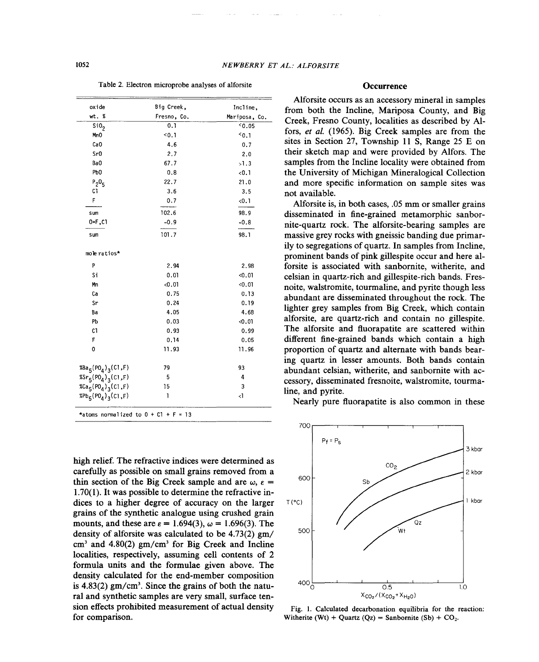Table 2. Electron microprobe analyses of alforsite

| oxide                                                   | Big Creek,  | Incline,      |  |
|---------------------------------------------------------|-------------|---------------|--|
| wt. %                                                   | Fresno, Co. | Mariposa, Co. |  |
| SiO <sub>2</sub>                                        | 0.1         | 50.05         |  |
| MnO                                                     | $0.1$       | $0.1$         |  |
| CaO                                                     | 4.6         | 0.7           |  |
| Sr0                                                     | 2.7         | 2.0           |  |
| Ba0                                                     | 67.7        | >1.3          |  |
| Pb <sub>0</sub>                                         | 0.8         | < 0.1         |  |
| $P_2O_5$                                                | 22.7        | 21.0          |  |
| C1                                                      | 3.6         | 3.5           |  |
| F                                                       | 0.7         | < 0.1         |  |
| sum                                                     | 102.6       | 98.9          |  |
| 0=F,C1                                                  | $-0.9$      | $-0.8$        |  |
| sum                                                     | 101.7       | 98.1          |  |
| mole ratios*                                            |             |               |  |
|                                                         |             |               |  |
| P                                                       | 2.94        | 2.98          |  |
| Si                                                      | 0.01        | $0.01$        |  |
| Mn                                                      | 0.01        | 0.01          |  |
| Ca                                                      | 0.75        | 0.13          |  |
| Sr                                                      | 0.24        | 0.19          |  |
| Ba                                                      | 4.05        | 4.68          |  |
| Pb                                                      | 0.03        | < 0.01        |  |
| C1                                                      | 0.93        | 0.99          |  |
| F                                                       | 0.14        | 0.05          |  |
| 0                                                       | 11.93       | 11.96         |  |
| %Ba <sub>5</sub> (PO <sub>4</sub> ) <sub>3</sub> (C1,F) | 79          | 93            |  |
| $85r_5(PO_4)_3(C1,F)$                                   | 5           | 4             |  |
| %Ca <sub>5</sub> (PO <sub>4</sub> ) <sub>3</sub> (C1,F) | 15          | 3             |  |
| ${}_{8}^{8}Pb_{5} (P0_{4})_{3} (C1, F)$                 | 1           | 4             |  |

\*atoms normalized to  $0 + C1 + F = 13$ 

high relief. The refractive indices were determined as carefully as possible on small grains removed from a thin section of the Big Creek sample and are  $\omega$ ,  $\varepsilon$  = 1.70(1). It was possible to determine the refractive indices to a higher degree of accuracy on the larger grains of the synthetic analogue using crushed grain mounts, and these are  $\varepsilon = 1.694(3)$ ,  $\omega = 1.696(3)$ . The density of alforsite was calculated to be 4.73(2) gm/  $cm<sup>3</sup>$  and 4.80(2)  $gm/cm<sup>3</sup>$  for Big Creek and Incline localities, respectively, assuming cell contents of 2 formula units and the formulae given above. The density calculated for the end-member composition is  $4.83(2)$  gm/cm<sup>3</sup>. Since the grains of both the natural and synthetic samples are very small, surface tension effects prohibited measurement of actual density for comparison.

# **Occurrence**

Alforsite occurs as an accessory mineral in samples from both the Incline, Mariposa County, and Big Creek, Fresno County, localities as described by Alfors, *et ai.* (1965). Big Creek samples are from the sites in Section 27, Township 11 S, Range 25 E on their sketch map and were provided by Alfors. The samples from the Incline locality were obtained from the University of Michigan Mineralogical Collection and more specific information on sample sites was not available.

Alforsite is, in both cases, .05 mm or smaller grains disseminated in fine-grained metamorphic sanbornite-quartz rock. The alforsite-bearing samples are massive grey rocks with gneissic banding due primarily to segregations of quartz. In samples from Incline, prominent bands of pink gillespite occur and here alforsite is associated with sanbornite, witherite, and celsian in quartz-rich and gillespite-rich bands. Fresnoite, walstromite, tourmaline, and pyrite though less abundant are disseminated throughout the rock. The lighter grey samples from Big Creek, which contain alforsite, are quartz-rich and contain no gillespite. The alforsite and fluorapatite are scattered within different fine-grained bands which contain a high proportion of quartz and alternate with bands bearing quartz in lesser amounts. Both bands contain abundant celsian, witherite, and sanbornite with accessory, disseminated fresnoite, walstromite, tourmaline, and pyrite.

Nearly pure fluorapatite is also common in these



Fig. 1. Calculated decarbonation equilibria for the reaction: Witherite (Wt) + Quartz (Qz) = Sanbornite (Sb) +  $CO_2$ .